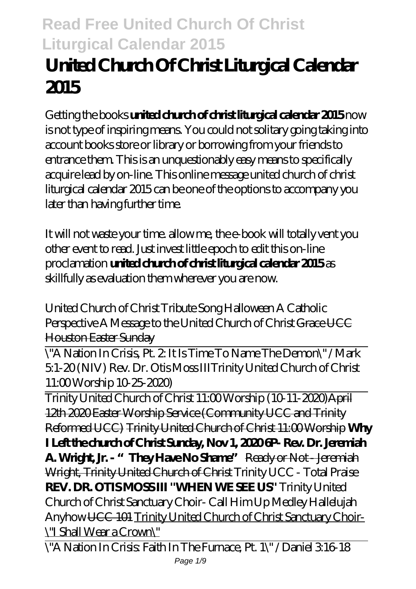# **United Church Of Christ Liturgical Calendar 2015**

Getting the books **united church of christ liturgical calendar 2015** now is not type of inspiring means. You could not solitary going taking into account books store or library or borrowing from your friends to entrance them. This is an unquestionably easy means to specifically acquire lead by on-line. This online message united church of christ liturgical calendar 2015 can be one of the options to accompany you later than having further time.

It will not waste your time. allow me, the e-book will totally vent you other event to read. Just invest little epoch to edit this on-line proclamation **united church of christ liturgical calendar 2015** as skillfully as evaluation them wherever you are now.

*United Church of Christ Tribute Song* Halloween A Catholic Perspective A Message to the United Church of Christ Grace UCC Houston Easter Sunday

\"A Nation In Crisis, Pt. 2: It Is Time To Name The Demon\" / Mark 5:1-20 (NIV) Rev. Dr. Otis Moss III*Trinity United Church of Christ 11:00 Worship 10-25-2020)*

Trinity United Church of Christ 11:00 Worship (10-11-2020)April 12th 2020 Easter Worship Service (Community UCC and Trinity Reformed UCC) Trinity United Church of Christ 11:00 Worship **Why I Left the church of Christ Sunday, Nov 1, 2020 6P- Rev. Dr. Jeremiah A. Wright, Jr. - "They Have No Shame"** Ready or Not - Jeremiah Wright, Trinity United Church of Christ *Trinity UCC - Total Praise* **REV. DR. OTIS MOSS III ''WHEN WE SEE US''** *Trinity United Church of Christ Sanctuary Choir- Call Him Up Medley* Hallelujah Anyhow UCC 101 Trinity United Church of Christ Sanctuary Choir- \"I Shall Wear a Crown\"

\"A Nation In Crisis: Faith In The Furnace, Pt. 1\" / Daniel 3:16-18 Page  $1/9$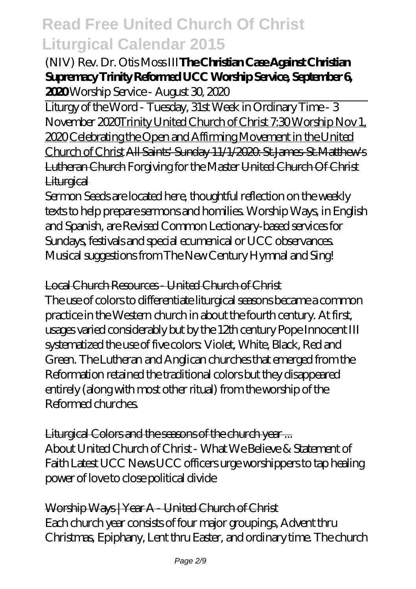### (NIV) Rev. Dr. Otis Moss III**The Christian Case Against Christian Supremacy Trinity Reformed UCC Worship Service, September 6, 2020** *Worship Service - August 30, 2020*

Liturgy of the Word - Tuesday, 31st Week in Ordinary Time - 3 November 2020Trinity United Church of Christ 7:30 Worship Nov 1, 2020 Celebrating the Open and Affirming Movement in the United Church of Christ All Saints' Sunday 11/1/2020: St.James-St.Matthew's Lutheran Church Forgiving for the Master United Church Of Christ **Liturgical** 

Sermon Seeds are located here, thoughtful reflection on the weekly texts to help prepare sermons and homilies. Worship Ways, in English and Spanish, are Revised Common Lectionary-based services for Sundays, festivals and special ecumenical or UCC observances. Musical suggestions from The New Century Hymnal and Sing!

#### Local Church Resources - United Church of Christ

The use of colors to differentiate liturgical seasons became a common practice in the Western church in about the fourth century. At first, usages varied considerably but by the 12th century Pope Innocent III systematized the use of five colors: Violet, White, Black, Red and Green. The Lutheran and Anglican churches that emerged from the Reformation retained the traditional colors but they disappeared entirely (along with most other ritual) from the worship of the Reformed churches.

#### Liturgical Colors and the seasons of the church year ...

About United Church of Christ - What We Believe & Statement of Faith Latest UCC News UCC officers urge worshippers to tap healing power of love to close political divide

Worship Ways | Year A - United Church of Christ Each church year consists of four major groupings, Advent thru Christmas, Epiphany, Lent thru Easter, and ordinary time. The church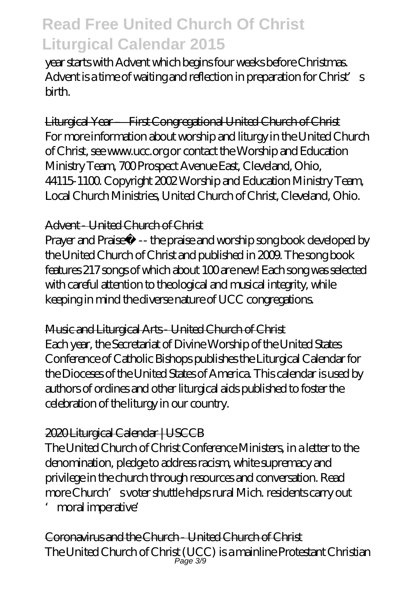year starts with Advent which begins four weeks before Christmas. Advent is a time of waiting and reflection in preparation for Christ's birth.

Liturgical Year – First Congregational United Church of Christ For more information about worship and liturgy in the United Church of Christ, see www.ucc.org or contact the Worship and Education Ministry Team, 700 Prospect Avenue East, Cleveland, Ohio, 44115-1100. Copyright 2002 Worship and Education Ministry Team, Local Church Ministries, United Church of Christ, Cleveland, Ohio.

### Advent - United Church of Christ

Prayer and Praise™ -- the praise and worship song book developed by the United Church of Christ and published in 2009. The song book features 217 songs of which about 100 are new! Each song was selected with careful attention to theological and musical integrity, while keeping in mind the diverse nature of UCC congregations.

#### Music and Liturgical Arts - United Church of Christ

Each year, the Secretariat of Divine Worship of the United States Conference of Catholic Bishops publishes the Liturgical Calendar for the Dioceses of the United States of America. This calendar is used by authors of ordines and other liturgical aids published to foster the celebration of the liturgy in our country.

### 2020 Liturgical Calendar | USCCB

The United Church of Christ Conference Ministers, in a letter to the denomination, pledge to address racism, white supremacy and privilege in the church through resources and conversation. Read more Church's voter shuttle helps rural Mich. residents carry out

'moral imperative'

Coronavirus and the Church - United Church of Christ The United Church of Christ (UCC) is a mainline Protestant Christian Page 3/9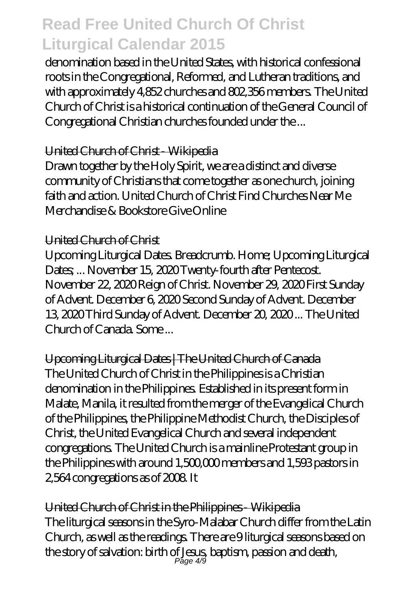denomination based in the United States, with historical confessional roots in the Congregational, Reformed, and Lutheran traditions, and with approximately 4,852 churches and 802,356 members. The United Church of Christ is a historical continuation of the General Council of Congregational Christian churches founded under the ...

#### United Church of Christ - Wikipedia

Drawn together by the Holy Spirit, we are a distinct and diverse community of Christians that come together as one church, joining faith and action. United Church of Christ Find Churches Near Me Merchandise & Bookstore Give Online

#### United Church of Christ

Upcoming Liturgical Dates. Breadcrumb. Home; Upcoming Liturgical Dates; ... November 15, 2020 Twenty-fourth after Pentecost. November 22, 2020 Reign of Christ. November 29, 2020 First Sunday of Advent. December 6, 2020 Second Sunday of Advent. December 13, 2020 Third Sunday of Advent. December 20, 2020 ... The United Church of Canada. Some ...

Upcoming Liturgical Dates | The United Church of Canada The United Church of Christ in the Philippines is a Christian denomination in the Philippines. Established in its present form in Malate, Manila, it resulted from the merger of the Evangelical Church of the Philippines, the Philippine Methodist Church, the Disciples of Christ, the United Evangelical Church and several independent congregations. The United Church is a mainline Protestant group in the Philippines with around 1,500,000 members and 1,593 pastors in 2,564 congregations as of 2008. It

United Church of Christ in the Philippines - Wikipedia The liturgical seasons in the Syro-Malabar Church differ from the Latin Church, as well as the readings. There are 9 liturgical seasons based on the story of salvation: birth of Jesus, baptism, passion and death, Page 4/9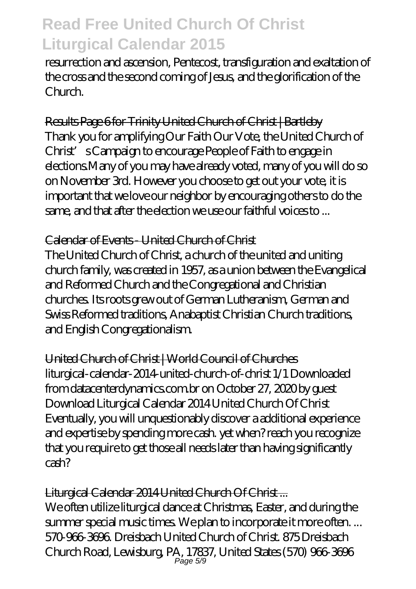resurrection and ascension, Pentecost, transfiguration and exaltation of the cross and the second coming of Jesus, and the glorification of the Church.

### Results Page 6 for Trinity United Church of Christ | Bartleby

Thank you for amplifying Our Faith Our Vote, the United Church of Christ's Campaign to encourage People of Faith to engage in elections.Many of you may have already voted, many of you will do so on November 3rd. However you choose to get out your vote, it is important that we love our neighbor by encouraging others to do the same, and that after the election we use our faithful voices to ...

### Calendar of Events - United Church of Christ

The United Church of Christ, a church of the united and uniting church family, was created in 1957, as a union between the Evangelical and Reformed Church and the Congregational and Christian churches. Its roots grew out of German Lutheranism, German and Swiss Reformed traditions, Anabaptist Christian Church traditions, and English Congregationalism.

United Church of Christ | World Council of Churches liturgical-calendar-2014-united-church-of-christ 1/1 Downloaded from datacenterdynamics.com.br on October 27, 2020 by guest Download Liturgical Calendar 2014 United Church Of Christ Eventually, you will unquestionably discover a additional experience and expertise by spending more cash. yet when? reach you recognize that you require to get those all needs later than having significantly cash?

#### Liturgical Calendar 2014 United Church Of Christ ...

We often utilize liturgical dance at Christmas, Easter, and during the summer special music times. We plan to incorporate it more often.... 570-966-3696. Dreisbach United Church of Christ. 875 Dreisbach Church Road, Lewisburg, PA, 17837, United States (570) 966-3696 Page 5/9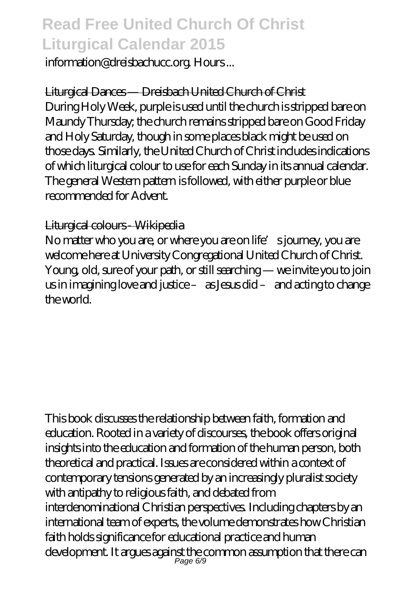information@dreisbachucc.org. Hours ...

Liturgical Dances — Dreisbach United Church of Christ

During Holy Week, purple is used until the church is stripped bare on Maundy Thursday; the church remains stripped bare on Good Friday and Holy Saturday, though in some places black might be used on those days. Similarly, the United Church of Christ includes indications of which liturgical colour to use for each Sunday in its annual calendar. The general Western pattern is followed, with either purple or blue recommended for Advent.

#### Liturgical colours - Wikipedia

No matter who you are, or where you are on life's journey, you are welcome here at University Congregational United Church of Christ. Young, old, sure of your path, or still searching — we invite you to join us in imagining love and justice – as Jesus did – and acting to change the world.

This book discusses the relationship between faith, formation and education. Rooted in a variety of discourses, the book offers original insights into the education and formation of the human person, both theoretical and practical. Issues are considered within a context of contemporary tensions generated by an increasingly pluralist society with antipathy to religious faith, and debated from interdenominational Christian perspectives. Including chapters by an international team of experts, the volume demonstrates how Christian faith holds significance for educational practice and human development. It argues against the common assumption that there can Page 6/9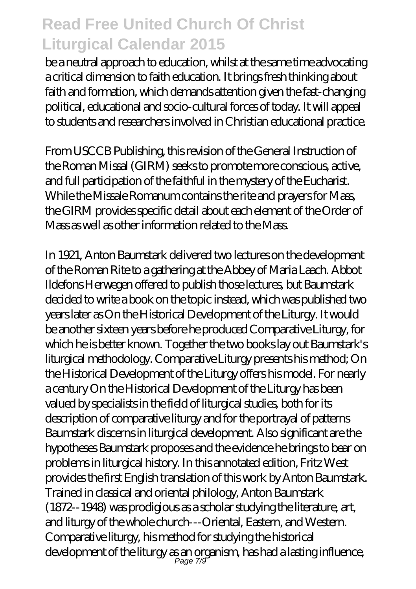be a neutral approach to education, whilst at the same time advocating a critical dimension to faith education. It brings fresh thinking about faith and formation, which demands attention given the fast-changing political, educational and socio-cultural forces of today. It will appeal to students and researchers involved in Christian educational practice.

From USCCB Publishing, this revision of the General Instruction of the Roman Missal (GIRM) seeks to promote more conscious, active, and full participation of the faithful in the mystery of the Eucharist. While the Missale Romanum contains the rite and prayers for Mass, the GIRM provides specific detail about each element of the Order of Mass as well as other information related to the Mass.

In 1921, Anton Baumstark delivered two lectures on the development of the Roman Rite to a gathering at the Abbey of Maria Laach. Abbot Ildefons Herwegen offered to publish those lectures, but Baumstark decided to write a book on the topic instead, which was published two years later as On the Historical Development of the Liturgy. It would be another sixteen years before he produced Comparative Liturgy, for which he is better known. Together the two books lay out Baumstark's liturgical methodology. Comparative Liturgy presents his method; On the Historical Development of the Liturgy offers his model. For nearly a century On the Historical Development of the Liturgy has been valued by specialists in the field of liturgical studies, both for its description of comparative liturgy and for the portrayal of patterns Baumstark discerns in liturgical development. Also significant are the hypotheses Baumstark proposes and the evidence he brings to bear on problems in liturgical history. In this annotated edition, Fritz West provides the first English translation of this work by Anton Baumstark. Trained in classical and oriental philology, Anton Baumstark (1872--1948) was prodigious as a scholar studying the literature, art, and liturgy of the whole church---Oriental, Eastern, and Western. Comparative liturgy, his method for studying the historical development of the liturgy as an organism, has had a lasting influence, Page 7/9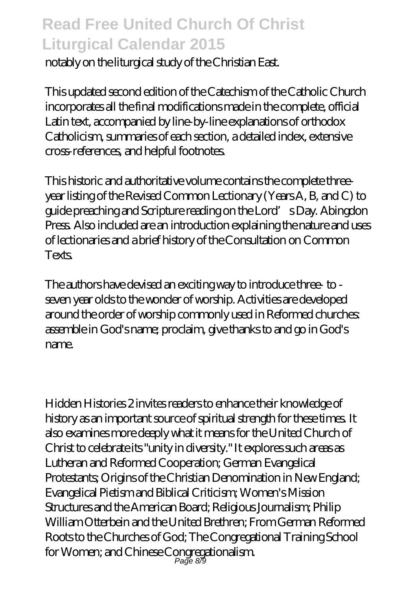notably on the liturgical study of the Christian East.

This updated second edition of the Catechism of the Catholic Church incorporates all the final modifications made in the complete, official Latin text, accompanied by line-by-line explanations of orthodox Catholicism, summaries of each section, a detailed index, extensive cross-references, and helpful footnotes.

This historic and authoritative volume contains the complete threeyear listing of the Revised Common Lectionary (Years A, B, and C) to guide preaching and Scripture reading on the Lord's Day. Abingdon Press. Also included are an introduction explaining the nature and uses of lectionaries and a brief history of the Consultation on Common Texts.

The authors have devised an exciting way to introduce three- to seven year olds to the wonder of worship. Activities are developed around the order of worship commonly used in Reformed churches: assemble in God's name; proclaim, give thanks to and go in God's name.

Hidden Histories 2 invites readers to enhance their knowledge of history as an important source of spiritual strength for these times. It also examines more deeply what it means for the United Church of Christ to celebrate its "unity in diversity." It explores such areas as Lutheran and Reformed Cooperation; German Evangelical Protestants; Origins of the Christian Denomination in New England; Evangelical Pietism and Biblical Criticism; Women's Mission Structures and the American Board; Religious Journalism; Philip William Otterbein and the United Brethren; From German Reformed Roots to the Churches of God; The Congregational Training School for Women; and Chinese Congregationalism. Page 8/9